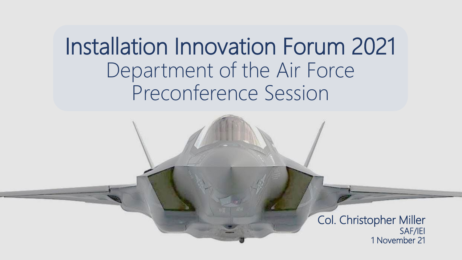Installation Innovation Forum 2021 Department of the Air Force Preconference Session

> Col. Christopher Miller SAF/IEI 1 November 21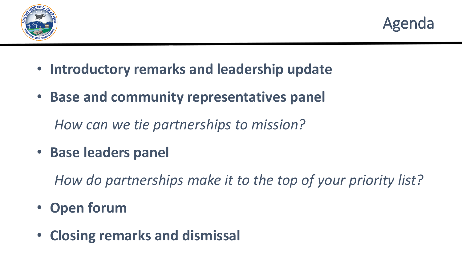



- **Introductory remarks and leadership update**
- **Base and community representatives panel**

*How can we tie partnerships to mission?*

• **Base leaders panel**

*How do partnerships make it to the top of your priority list?*

- **Open forum**
- **Closing remarks and dismissal**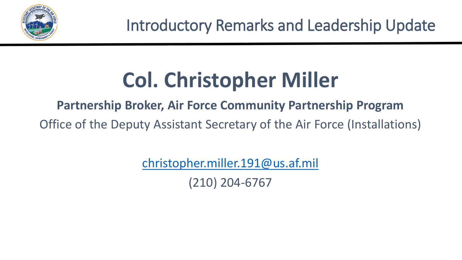

## **Col. Christopher Miller**

#### **Partnership Broker, Air Force Community Partnership Program**

Office of the Deputy Assistant Secretary of the Air Force (Installations)

[christopher.miller.191@us.af.mil](mailto:christopher.miller.191@us.af.mil)

(210) 204-6767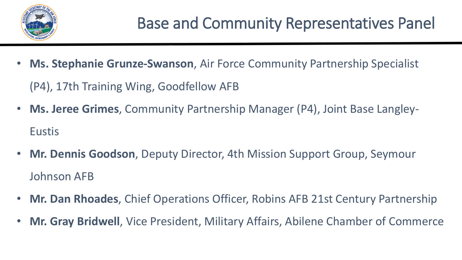

- **Ms. Stephanie Grunze-Swanson**, Air Force Community Partnership Specialist (P4), 17th Training Wing, Goodfellow AFB
- **Ms. Jeree Grimes**, Community Partnership Manager (P4), Joint Base Langley-Eustis
- **Mr. Dennis Goodson**, Deputy Director, 4th Mission Support Group, Seymour Johnson AFB
- **Mr. Dan Rhoades**, Chief Operations Officer, Robins AFB 21st Century Partnership
- **Mr. Gray Bridwell**, Vice President, Military Affairs, Abilene Chamber of Commerce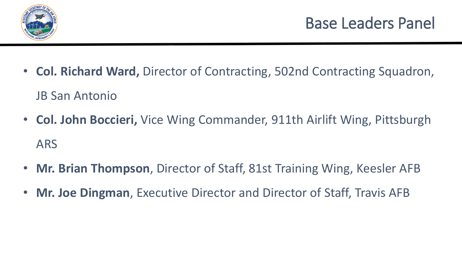

- **Col. Richard Ward,** Director of Contracting, 502nd Contracting Squadron, JB San Antonio
- **Col. John Boccieri,** Vice Wing Commander, 911th Airlift Wing, Pittsburgh ARS
- **Mr. Brian Thompson**, Director of Staff, 81st Training Wing, Keesler AFB
- **Mr. Joe Dingman**, Executive Director and Director of Staff, Travis AFB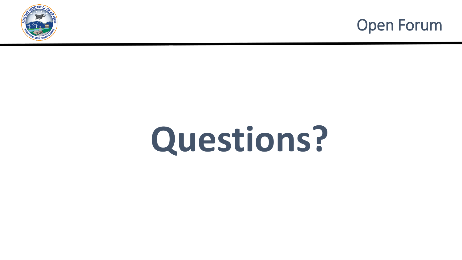



# **Questions?**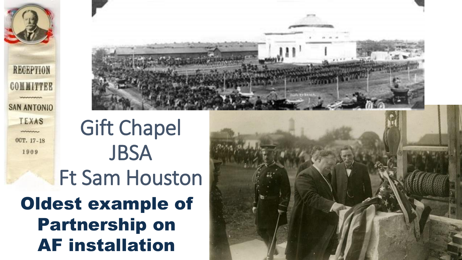



Oldest example of Partnership on AF installation Gift Chapel **JBSA** Ft Sam Houston

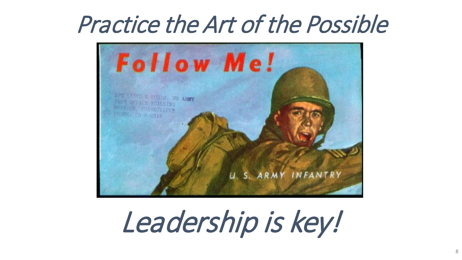### Practice the Art of the Possible



Leadership is key!